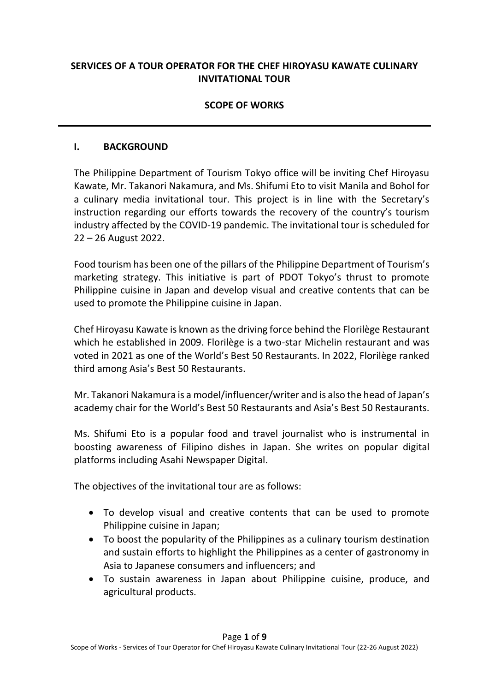# **SERVICES OF A TOUR OPERATOR FOR THE CHEF HIROYASU KAWATE CULINARY INVITATIONAL TOUR**

## **SCOPE OF WORKS**

### **I. BACKGROUND**

The Philippine Department of Tourism Tokyo office will be inviting Chef Hiroyasu Kawate, Mr. Takanori Nakamura, and Ms. Shifumi Eto to visit Manila and Bohol for a culinary media invitational tour. This project is in line with the Secretary's instruction regarding our efforts towards the recovery of the country's tourism industry affected by the COVID-19 pandemic. The invitational tour is scheduled for 22 – 26 August 2022.

Food tourism has been one of the pillars of the Philippine Department of Tourism's marketing strategy. This initiative is part of PDOT Tokyo's thrust to promote Philippine cuisine in Japan and develop visual and creative contents that can be used to promote the Philippine cuisine in Japan.

Chef Hiroyasu Kawate is known as the driving force behind the Florilège Restaurant which he established in 2009. Florilège is a two-star Michelin restaurant and was voted in 2021 as one of the World's Best 50 Restaurants. In 2022, Florilège ranked third among Asia's Best 50 Restaurants.

Mr. Takanori Nakamura is a model/influencer/writer and is also the head of Japan's academy chair for the World's Best 50 Restaurants and Asia's Best 50 Restaurants.

Ms. Shifumi Eto is a popular food and travel journalist who is instrumental in boosting awareness of Filipino dishes in Japan. She writes on popular digital platforms including Asahi Newspaper Digital.

The objectives of the invitational tour are as follows:

- To develop visual and creative contents that can be used to promote Philippine cuisine in Japan;
- To boost the popularity of the Philippines as a culinary tourism destination and sustain efforts to highlight the Philippines as a center of gastronomy in Asia to Japanese consumers and influencers; and
- To sustain awareness in Japan about Philippine cuisine, produce, and agricultural products.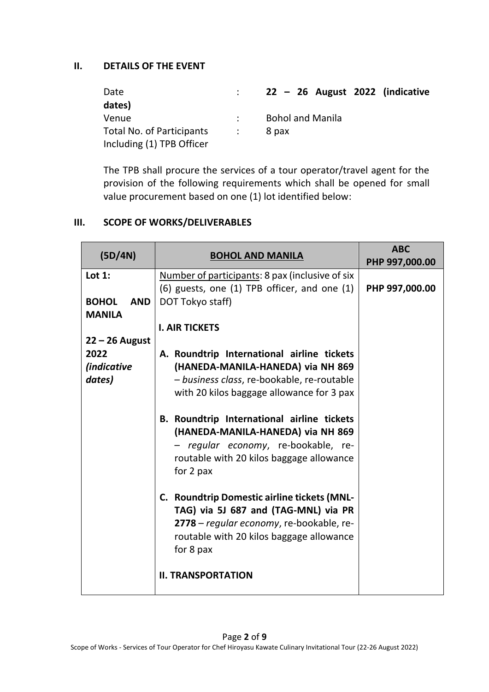## **II. DETAILS OF THE EVENT**

| Date                             |             | $\therefore$ 22 – 26 August 2022 (indicative |
|----------------------------------|-------------|----------------------------------------------|
| dates)                           |             |                                              |
| Venue                            |             | <b>Bohol and Manila</b>                      |
| <b>Total No. of Participants</b> | $\sim 1000$ | 8 pax                                        |
| Including (1) TPB Officer        |             |                                              |

The TPB shall procure the services of a tour operator/travel agent for the provision of the following requirements which shall be opened for small value procurement based on one (1) lot identified below:

### **III. SCOPE OF WORKS/DELIVERABLES**

| (D/4N)                                                   | <b>BOHOL AND MANILA</b>                                                                                                                                                                                                                                                                                                                                                                                                                                                                                                                                                                | <b>ABC</b><br>PHP 997,000.00 |
|----------------------------------------------------------|----------------------------------------------------------------------------------------------------------------------------------------------------------------------------------------------------------------------------------------------------------------------------------------------------------------------------------------------------------------------------------------------------------------------------------------------------------------------------------------------------------------------------------------------------------------------------------------|------------------------------|
| Lot $1:$<br><b>BOHOL</b><br><b>AND</b><br><b>MANILA</b>  | Number of participants: 8 pax (inclusive of six<br>$(6)$ guests, one $(1)$ TPB officer, and one $(1)$<br>DOT Tokyo staff)                                                                                                                                                                                                                                                                                                                                                                                                                                                              | PHP 997,000.00               |
|                                                          | <b>I. AIR TICKETS</b>                                                                                                                                                                                                                                                                                                                                                                                                                                                                                                                                                                  |                              |
| $22 - 26$ August<br>2022<br><i>(indicative</i><br>dates) | A. Roundtrip International airline tickets<br>(HANEDA-MANILA-HANEDA) via NH 869<br>- business class, re-bookable, re-routable<br>with 20 kilos baggage allowance for 3 pax<br>B. Roundtrip International airline tickets<br>(HANEDA-MANILA-HANEDA) via NH 869<br>- regular economy, re-bookable, re-<br>routable with 20 kilos baggage allowance<br>for 2 pax<br>C. Roundtrip Domestic airline tickets (MNL-<br>TAG) via 5J 687 and (TAG-MNL) via PR<br>2778 – regular economy, re-bookable, re-<br>routable with 20 kilos baggage allowance<br>for 8 pax<br><b>II. TRANSPORTATION</b> |                              |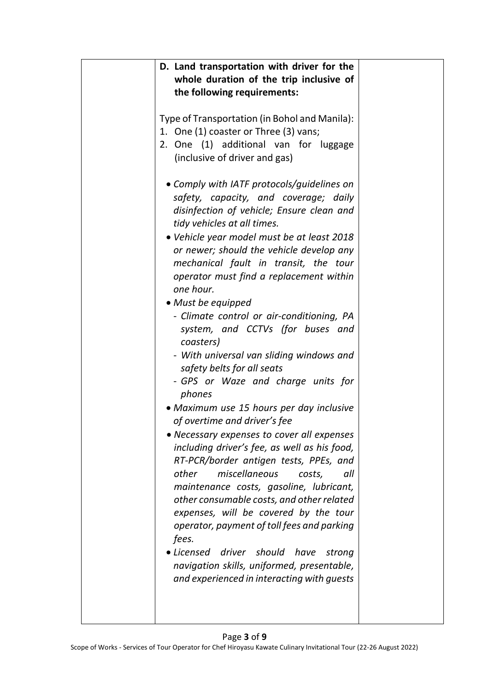| D. Land transportation with driver for the<br>whole duration of the trip inclusive of<br>the following requirements:                                                                                                                                                                                                                                                                                                                                                                                                                                                                                                                                                                                                                                                                                                                                                                                                                                                                                                                                                                                                                                                                                         |  |
|--------------------------------------------------------------------------------------------------------------------------------------------------------------------------------------------------------------------------------------------------------------------------------------------------------------------------------------------------------------------------------------------------------------------------------------------------------------------------------------------------------------------------------------------------------------------------------------------------------------------------------------------------------------------------------------------------------------------------------------------------------------------------------------------------------------------------------------------------------------------------------------------------------------------------------------------------------------------------------------------------------------------------------------------------------------------------------------------------------------------------------------------------------------------------------------------------------------|--|
| Type of Transportation (in Bohol and Manila):<br>1. One (1) coaster or Three (3) vans;<br>2. One (1) additional van for luggage<br>(inclusive of driver and gas)                                                                                                                                                                                                                                                                                                                                                                                                                                                                                                                                                                                                                                                                                                                                                                                                                                                                                                                                                                                                                                             |  |
| • Comply with IATF protocols/guidelines on<br>safety, capacity, and coverage; daily<br>disinfection of vehicle; Ensure clean and<br>tidy vehicles at all times.<br>• Vehicle year model must be at least 2018<br>or newer; should the vehicle develop any<br>mechanical fault in transit, the tour<br>operator must find a replacement within<br>one hour.<br>• Must be equipped<br>- Climate control or air-conditioning, PA<br>system, and CCTVs (for buses and<br>coasters)<br>- With universal van sliding windows and<br>safety belts for all seats<br>- GPS or Waze and charge units for<br>phones<br>• Maximum use 15 hours per day inclusive<br>of overtime and driver's fee<br>• Necessary expenses to cover all expenses<br>including driver's fee, as well as his food,<br>RT-PCR/border antigen tests, PPEs, and<br>miscellaneous<br>other<br>costs,<br>all<br>maintenance costs, gasoline, lubricant,<br>other consumable costs, and other related<br>expenses, will be covered by the tour<br>operator, payment of toll fees and parking<br>fees.<br>• Licensed<br>driver should<br>have<br>strong<br>navigation skills, uniformed, presentable,<br>and experienced in interacting with guests |  |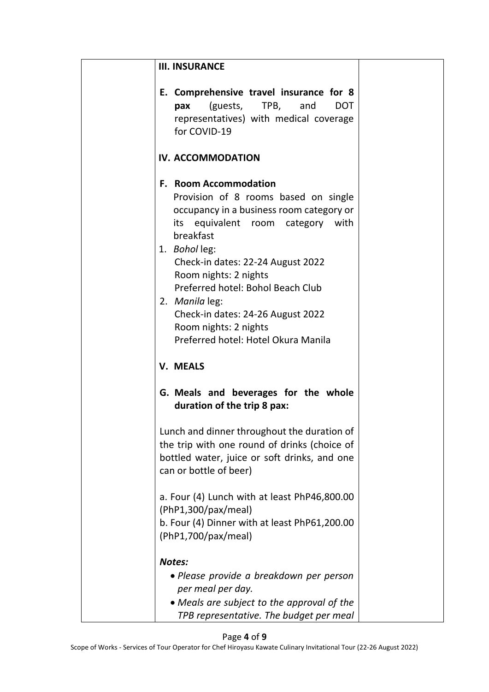| <b>III. INSURANCE</b>                                                                                                                                                                                                                                                                                                                                                                                         |  |
|---------------------------------------------------------------------------------------------------------------------------------------------------------------------------------------------------------------------------------------------------------------------------------------------------------------------------------------------------------------------------------------------------------------|--|
| E. Comprehensive travel insurance for 8<br>(guests, TPB, and<br><b>DOT</b><br>рах<br>representatives) with medical coverage<br>for COVID-19                                                                                                                                                                                                                                                                   |  |
| IV. ACCOMMODATION                                                                                                                                                                                                                                                                                                                                                                                             |  |
| <b>F. Room Accommodation</b><br>Provision of 8 rooms based on single<br>occupancy in a business room category or<br>its equivalent room category with<br>breakfast<br>1. Bohol leg:<br>Check-in dates: 22-24 August 2022<br>Room nights: 2 nights<br>Preferred hotel: Bohol Beach Club<br>2. Manila leg:<br>Check-in dates: 24-26 August 2022<br>Room nights: 2 nights<br>Preferred hotel: Hotel Okura Manila |  |
| <b>V. MEALS</b>                                                                                                                                                                                                                                                                                                                                                                                               |  |
| G. Meals and beverages for the whole<br>duration of the trip 8 pax:                                                                                                                                                                                                                                                                                                                                           |  |
| Lunch and dinner throughout the duration of<br>the trip with one round of drinks (choice of<br>bottled water, juice or soft drinks, and one<br>can or bottle of beer)                                                                                                                                                                                                                                         |  |
| a. Four (4) Lunch with at least PhP46,800.00<br>(PhP1,300/pax/meal)<br>b. Four (4) Dinner with at least PhP61,200.00<br>(PhP1,700/pax/meal)                                                                                                                                                                                                                                                                   |  |
| <b>Notes:</b><br>• Please provide a breakdown per person<br>per meal per day.<br>• Meals are subject to the approval of the<br>TPB representative. The budget per meal                                                                                                                                                                                                                                        |  |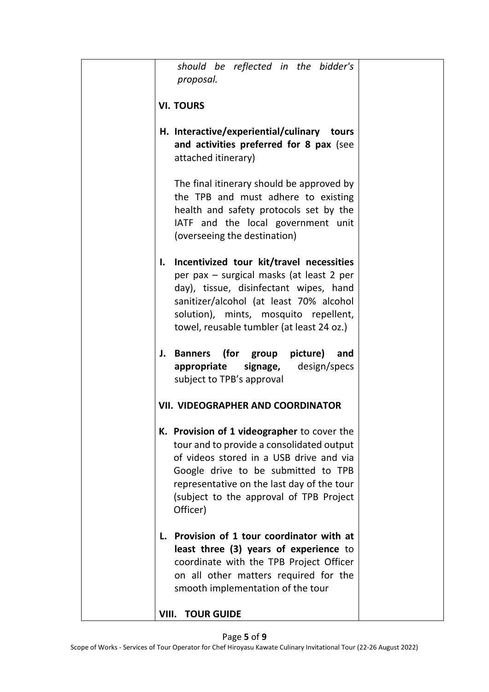|    | should be reflected in the bidder's<br>proposal.                                                                                                                                                                                                                                |  |
|----|---------------------------------------------------------------------------------------------------------------------------------------------------------------------------------------------------------------------------------------------------------------------------------|--|
|    | <b>VI. TOURS</b>                                                                                                                                                                                                                                                                |  |
|    | H. Interactive/experiential/culinary tours<br>and activities preferred for 8 pax (see<br>attached itinerary)                                                                                                                                                                    |  |
|    | The final itinerary should be approved by<br>the TPB and must adhere to existing<br>health and safety protocols set by the<br>IATF and the local government unit<br>(overseeing the destination)                                                                                |  |
| I. | Incentivized tour kit/travel necessities<br>per pax - surgical masks (at least 2 per<br>day), tissue, disinfectant wipes, hand<br>sanitizer/alcohol (at least 70% alcohol<br>solution), mints, mosquito repellent,<br>towel, reusable tumbler (at least 24 oz.)                 |  |
|    | (for group picture)<br>J. Banners<br>and<br>signage,<br>design/specs<br>appropriate<br>subject to TPB's approval                                                                                                                                                                |  |
|    | <b>VII. VIDEOGRAPHER AND COORDINATOR</b>                                                                                                                                                                                                                                        |  |
|    | K. Provision of 1 videographer to cover the<br>tour and to provide a consolidated output<br>of videos stored in a USB drive and via<br>Google drive to be submitted to TPB<br>representative on the last day of the tour<br>(subject to the approval of TPB Project<br>Officer) |  |
|    | L. Provision of 1 tour coordinator with at<br>least three (3) years of experience to<br>coordinate with the TPB Project Officer<br>on all other matters required for the<br>smooth implementation of the tour                                                                   |  |
|    | <b>TOUR GUIDE</b><br>VIII.                                                                                                                                                                                                                                                      |  |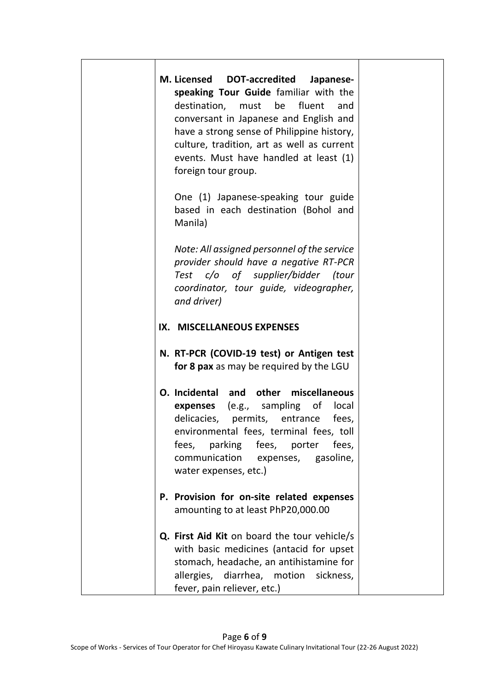| M. Licensed DOT-accredited<br>Japanese-<br>speaking Tour Guide familiar with the<br>destination, must be<br>fluent<br>and<br>conversant in Japanese and English and<br>have a strong sense of Philippine history,<br>culture, tradition, art as well as current<br>events. Must have handled at least (1)<br>foreign tour group. |  |
|----------------------------------------------------------------------------------------------------------------------------------------------------------------------------------------------------------------------------------------------------------------------------------------------------------------------------------|--|
| One (1) Japanese-speaking tour guide<br>based in each destination (Bohol and<br>Manila)                                                                                                                                                                                                                                          |  |
| Note: All assigned personnel of the service<br>provider should have a negative RT-PCR<br>Test c/o of supplier/bidder (tour<br>coordinator, tour guide, videographer,<br>and driver)                                                                                                                                              |  |
| IX. MISCELLANEOUS EXPENSES                                                                                                                                                                                                                                                                                                       |  |
| N. RT-PCR (COVID-19 test) or Antigen test<br>for 8 pax as may be required by the LGU                                                                                                                                                                                                                                             |  |
| O. Incidental and other<br>miscellaneous<br><b>expenses</b> (e.g., sampling of<br>local<br>delicacies, permits, entrance<br>fees,<br>environmental fees, terminal fees, toll<br>fees,<br>parking<br>fees, porter<br>fees,<br>communication<br>expenses, gasoline,<br>water expenses, etc.)                                       |  |
| P. Provision for on-site related expenses<br>amounting to at least PhP20,000.00                                                                                                                                                                                                                                                  |  |
| Q. First Aid Kit on board the tour vehicle/s<br>with basic medicines (antacid for upset<br>stomach, headache, an antihistamine for<br>allergies, diarrhea, motion sickness,<br>fever, pain reliever, etc.)                                                                                                                       |  |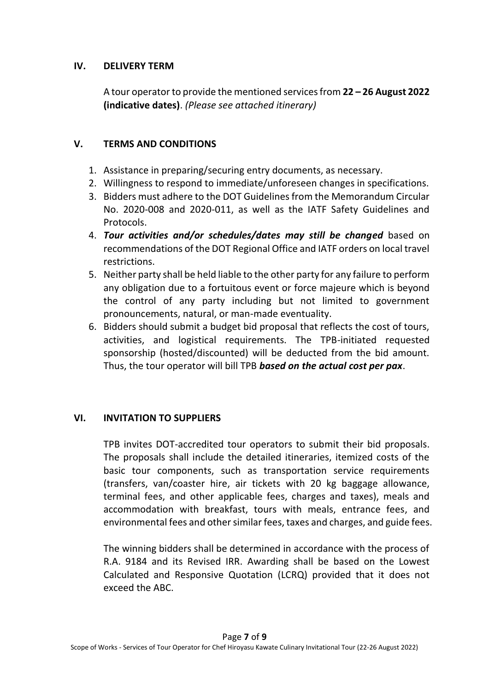## **IV. DELIVERY TERM**

A tour operator to provide the mentioned services from **22 – 26 August 2022 (indicative dates)**. *(Please see attached itinerary)*

## **V. TERMS AND CONDITIONS**

- 1. Assistance in preparing/securing entry documents, as necessary.
- 2. Willingness to respond to immediate/unforeseen changes in specifications.
- 3. Bidders must adhere to the DOT Guidelines from the Memorandum Circular No. 2020-008 and 2020-011, as well as the IATF Safety Guidelines and Protocols.
- 4. *Tour activities and/or schedules/dates may still be changed* based on recommendations of the DOT Regional Office and IATF orders on local travel restrictions.
- 5. Neither party shall be held liable to the other party for any failure to perform any obligation due to a fortuitous event or force majeure which is beyond the control of any party including but not limited to government pronouncements, natural, or man-made eventuality.
- 6. Bidders should submit a budget bid proposal that reflects the cost of tours, activities, and logistical requirements. The TPB-initiated requested sponsorship (hosted/discounted) will be deducted from the bid amount. Thus, the tour operator will bill TPB *based on the actual cost per pax*.

# **VI. INVITATION TO SUPPLIERS**

TPB invites DOT-accredited tour operators to submit their bid proposals. The proposals shall include the detailed itineraries, itemized costs of the basic tour components, such as transportation service requirements (transfers, van/coaster hire, air tickets with 20 kg baggage allowance, terminal fees, and other applicable fees, charges and taxes), meals and accommodation with breakfast, tours with meals, entrance fees, and environmental fees and other similar fees, taxes and charges, and guide fees.

The winning bidders shall be determined in accordance with the process of R.A. 9184 and its Revised IRR. Awarding shall be based on the Lowest Calculated and Responsive Quotation (LCRQ) provided that it does not exceed the ABC.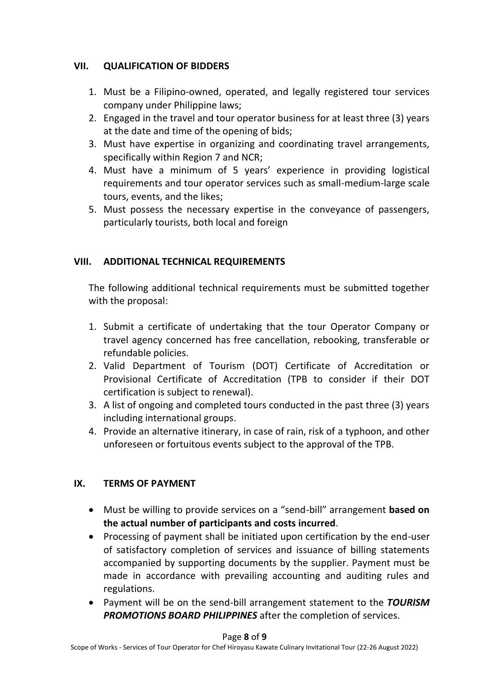# **VII. QUALIFICATION OF BIDDERS**

- 1. Must be a Filipino-owned, operated, and legally registered tour services company under Philippine laws;
- 2. Engaged in the travel and tour operator business for at least three (3) years at the date and time of the opening of bids;
- 3. Must have expertise in organizing and coordinating travel arrangements, specifically within Region 7 and NCR;
- 4. Must have a minimum of 5 years' experience in providing logistical requirements and tour operator services such as small-medium-large scale tours, events, and the likes;
- 5. Must possess the necessary expertise in the conveyance of passengers, particularly tourists, both local and foreign

# **VIII. ADDITIONAL TECHNICAL REQUIREMENTS**

The following additional technical requirements must be submitted together with the proposal:

- 1. Submit a certificate of undertaking that the tour Operator Company or travel agency concerned has free cancellation, rebooking, transferable or refundable policies.
- 2. Valid Department of Tourism (DOT) Certificate of Accreditation or Provisional Certificate of Accreditation (TPB to consider if their DOT certification is subject to renewal).
- 3. A list of ongoing and completed tours conducted in the past three (3) years including international groups.
- 4. Provide an alternative itinerary, in case of rain, risk of a typhoon, and other unforeseen or fortuitous events subject to the approval of the TPB.

# **IX. TERMS OF PAYMENT**

- Must be willing to provide services on a "send-bill" arrangement **based on the actual number of participants and costs incurred**.
- Processing of payment shall be initiated upon certification by the end-user of satisfactory completion of services and issuance of billing statements accompanied by supporting documents by the supplier. Payment must be made in accordance with prevailing accounting and auditing rules and regulations.
- Payment will be on the send-bill arrangement statement to the *TOURISM PROMOTIONS BOARD PHILIPPINES* after the completion of services.